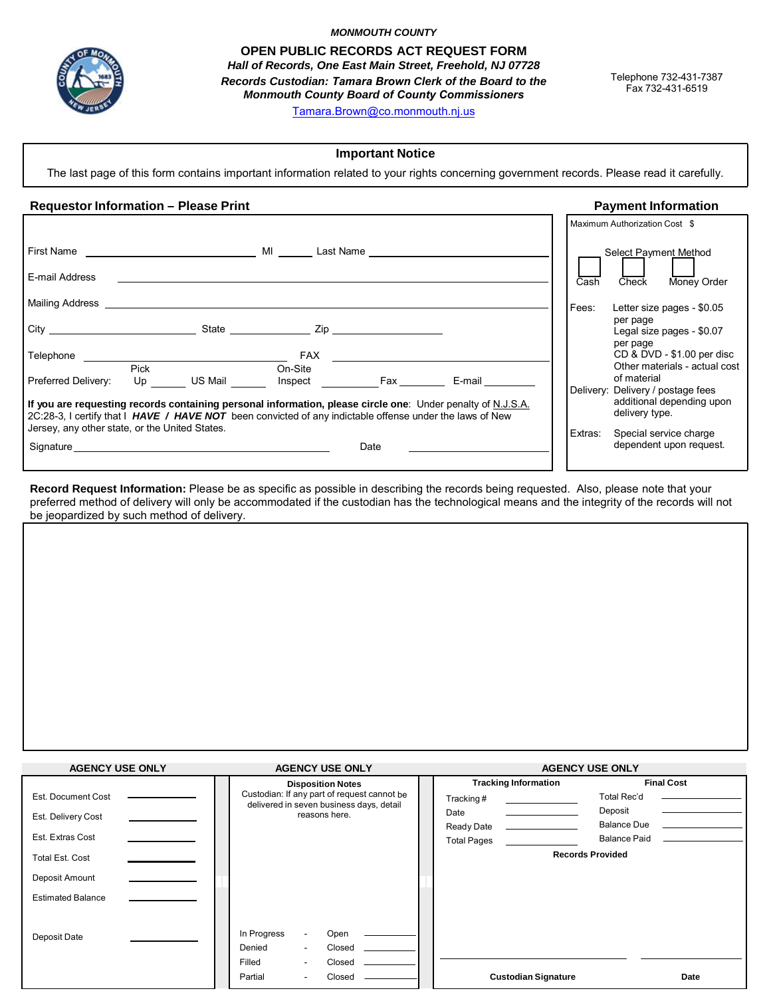

*MONMOUTH COUNTY*

**OPEN PUBLIC RECORDS ACT REQUEST FORM** *Hall of Records, One East Main Street, Freehold, NJ 07728*

*Records Custodian: Tamara Brown Clerk of the Board to the Monmouth County Board of County Commissioners*

Telephone 732-431-7387 Fax 732-431-6519

Tamara.Brown[@co.monmouth.nj.us](mailto:Marion.Masnick@co.monmouth.nj.us)

# **Important Notice**

The last page of this form contains important information related to your rights concerning government records. Please read it carefully.

# **Requestor Information – Please Print Payment Information**

|                                                                                                                                                                                                                                |                                                                                                                                                                                                                         |         | Maximum Authorization Cost \$                                                    |
|--------------------------------------------------------------------------------------------------------------------------------------------------------------------------------------------------------------------------------|-------------------------------------------------------------------------------------------------------------------------------------------------------------------------------------------------------------------------|---------|----------------------------------------------------------------------------------|
| First Name and the state of the state of the state of the state of the state of the state of the state of the state of the state of the state of the state of the state of the state of the state of the state of the state of | MI Last Name <b>Example 2018</b>                                                                                                                                                                                        |         | Select Payment Method                                                            |
| E-mail Address                                                                                                                                                                                                                 |                                                                                                                                                                                                                         | Cash    | Money Order<br><b>Check</b>                                                      |
| Mailing Address Mailing                                                                                                                                                                                                        |                                                                                                                                                                                                                         | Fees:   | Letter size pages - \$0.05                                                       |
|                                                                                                                                                                                                                                | State <b>Zip Zip</b>                                                                                                                                                                                                    |         | per page<br>Legal size pages - \$0.07<br>per page                                |
| Telephone                                                                                                                                                                                                                      | <b>FAX</b> ____________                                                                                                                                                                                                 |         | CD & DVD - \$1.00 per disc                                                       |
| Pick<br>Preferred Delivery:<br>US Mail <b>Alla</b><br>Up                                                                                                                                                                       | On-Site<br>Inspect Fax<br>E-mail                                                                                                                                                                                        |         | Other materials - actual cost<br>of material                                     |
|                                                                                                                                                                                                                                | If you are requesting records containing personal information, please circle one: Under penalty of N.J.S.A.<br>2C:28-3, I certify that I HAVE / HAVE NOT been convicted of any indictable offense under the laws of New |         | Delivery: Delivery / postage fees<br>additional depending upon<br>delivery type. |
| Jersey, any other state, or the United States.                                                                                                                                                                                 |                                                                                                                                                                                                                         | Extras: | Special service charge                                                           |
| Signature experience and the state of the state of the state of the state of the state of the state of the state of the state of the state of the state of the state of the state of the state of the state of the state of th | Date                                                                                                                                                                                                                    |         | dependent upon request.                                                          |

**Record Request Information:** Please be as specific as possible in describing the records being requested. Also, please note that your preferred method of delivery will only be accommodated if the custodian has the technological means and the integrity of the records will not be jeopardized by such method of delivery.

| <b>AGENCY USE ONLY</b>   | <b>AGENCY USE ONLY</b>                                                                  | <b>AGENCY USE ONLY</b>      |                         |
|--------------------------|-----------------------------------------------------------------------------------------|-----------------------------|-------------------------|
|                          | <b>Disposition Notes</b>                                                                | <b>Tracking Information</b> | <b>Final Cost</b>       |
| Est. Document Cost       | Custodian: If any part of request cannot be<br>delivered in seven business days, detail | Tracking#                   | Total Rec'd             |
| Est. Delivery Cost       | reasons here.                                                                           | Date                        | Deposit                 |
|                          |                                                                                         | Ready Date                  | <b>Balance Due</b>      |
| Est. Extras Cost         |                                                                                         | <b>Total Pages</b>          | <b>Balance Paid</b>     |
| Total Est. Cost          |                                                                                         |                             | <b>Records Provided</b> |
| Deposit Amount           |                                                                                         |                             |                         |
| <b>Estimated Balance</b> |                                                                                         |                             |                         |
|                          |                                                                                         |                             |                         |
| Deposit Date             | In Progress<br>Open<br>$\overline{\phantom{a}}$                                         |                             |                         |
|                          | Closed<br>Denied<br>$\overline{\phantom{a}}$                                            |                             |                         |
|                          | Closed<br>Filled<br>۰                                                                   |                             |                         |
|                          | Partial<br>Closed                                                                       | <b>Custodian Signature</b>  | Date                    |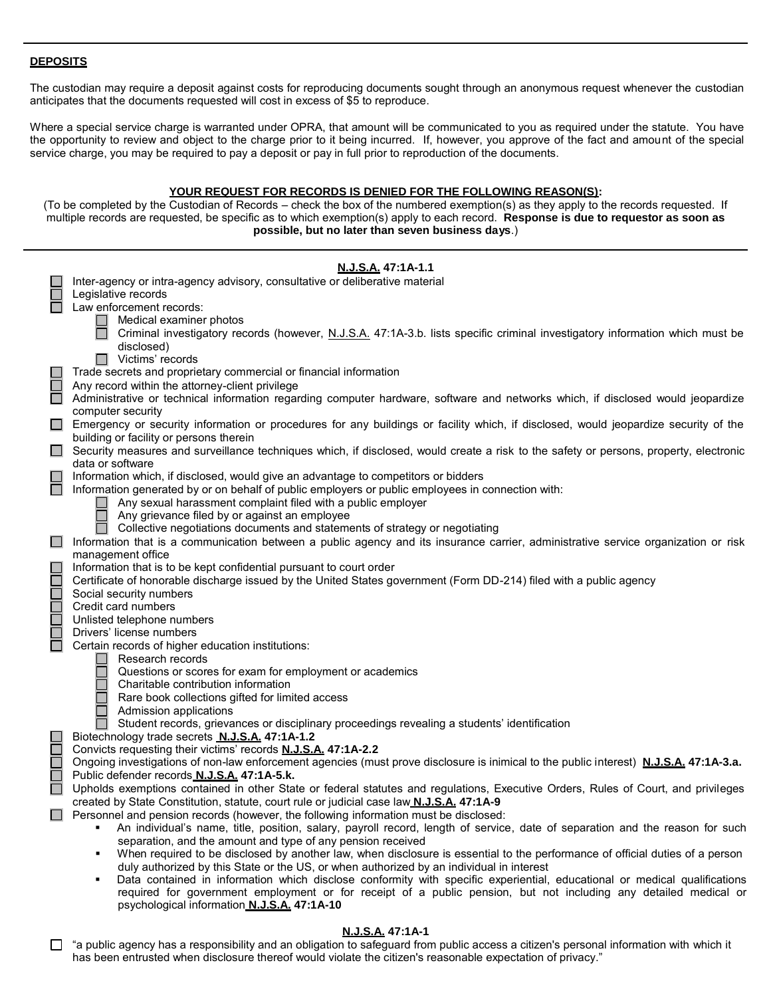# **DEPOSITS**

The custodian may require a deposit against costs for reproducing documents sought through an anonymous request whenever the custodian anticipates that the documents requested will cost in excess of \$5 to reproduce.

Where a special service charge is warranted under OPRA, that amount will be communicated to you as required under the statute. You have the opportunity to review and object to the charge prior to it being incurred. If, however, you approve of the fact and amou nt of the special service charge, you may be required to pay a deposit or pay in full prior to reproduction of the documents.

# **YOUR REQUEST FOR RECORDS IS DENIED FOR THE FOLLOWING REASON(S):**

(To be completed by the Custodian of Records – check the box of the numbered exemption(s) as they apply to the records requested. If multiple records are requested, be specific as to which exemption(s) apply to each record. **Response is due to requestor as soon as possible, but no later than seven business days**.)

|        | N.J.S.A. 47:1A-1.1                                                                                                                                              |
|--------|-----------------------------------------------------------------------------------------------------------------------------------------------------------------|
|        | Inter-agency or intra-agency advisory, consultative or deliberative material                                                                                    |
|        | Legislative records                                                                                                                                             |
|        | Law enforcement records:                                                                                                                                        |
|        | Medical examiner photos                                                                                                                                         |
|        | Criminal investigatory records (however, N.J.S.A. 47:1A-3.b. lists specific criminal investigatory information which must be                                    |
|        | disclosed)                                                                                                                                                      |
|        | $\Box$ Victims' records                                                                                                                                         |
|        | Trade secrets and proprietary commercial or financial information                                                                                               |
| ш      | Any record within the attorney-client privilege                                                                                                                 |
|        | Administrative or technical information regarding computer hardware, software and networks which, if disclosed would jeopardize                                 |
|        | computer security                                                                                                                                               |
|        | Emergency or security information or procedures for any buildings or facility which, if disclosed, would jeopardize security of the                             |
|        | building or facility or persons therein                                                                                                                         |
|        | □ Security measures and surveillance techniques which, if disclosed, would create a risk to the safety or persons, property, electronic<br>data or software     |
|        | Information which, if disclosed, would give an advantage to competitors or bidders                                                                              |
|        | Information generated by or on behalf of public employers or public employees in connection with:                                                               |
|        | Any sexual harassment complaint filed with a public employer                                                                                                    |
|        | Any grievance filed by or against an employee                                                                                                                   |
|        | Collective negotiations documents and statements of strategy or negotiating                                                                                     |
|        | Information that is a communication between a public agency and its insurance carrier, administrative service organization or risk                              |
|        | management office                                                                                                                                               |
|        | Information that is to be kept confidential pursuant to court order                                                                                             |
| П      | Certificate of honorable discharge issued by the United States government (Form DD-214) filed with a public agency                                              |
| $\Box$ | Social security numbers                                                                                                                                         |
|        | Credit card numbers                                                                                                                                             |
| Ō      | Unlisted telephone numbers                                                                                                                                      |
| $\Box$ | Drivers' license numbers                                                                                                                                        |
|        | Certain records of higher education institutions:                                                                                                               |
|        | Research records                                                                                                                                                |
|        | Questions or scores for exam for employment or academics                                                                                                        |
|        | Charitable contribution information                                                                                                                             |
|        | Rare book collections gifted for limited access                                                                                                                 |
|        | Admission applications<br>Student records, grievances or disciplinary proceedings revealing a students' identification                                          |
|        | Biotechnology trade secrets N.J.S.A. 47:1A-1.2                                                                                                                  |
| Г      | Convicts requesting their victims' records N.J.S.A. 47:1A-2.2                                                                                                   |
| $\Box$ | Ongoing investigations of non-law enforcement agencies (must prove disclosure is inimical to the public interest) N.J.S.A. 47:1A-3.a.                           |
| $\Box$ | Public defender records N.J.S.A. 47:1A-5.k.                                                                                                                     |
|        | Upholds exemptions contained in other State or federal statutes and regulations, Executive Orders, Rules of Court, and privileges                               |
|        | created by State Constitution, statute, court rule or judicial case law N.J.S.A. 47:1A-9                                                                        |
|        | Personnel and pension records (however, the following information must be disclosed:                                                                            |
|        | An individual's name, title, position, salary, payroll record, length of service, date of separation and the reason for such                                    |
|        | separation, and the amount and type of any pension received                                                                                                     |
|        | When required to be disclosed by another law, when disclosure is essential to the performance of official duties of a person<br>٠                               |
|        | duly authorized by this State or the US, or when authorized by an individual in interest                                                                        |
|        | Data contained in information which disclose conformity with specific experiential, educational or medical qualifications<br>٠                                  |
|        | required for government employment or for receipt of a public pension, but not including any detailed medical or<br>psychological information N.J.S.A. 47:1A-10 |
|        |                                                                                                                                                                 |
|        | <b>NISA 47-1A-1</b>                                                                                                                                             |

#### **N.J.S.A. 47:1A-1**

□ "a public agency has a responsibility and an obligation to safeguard from public access a citizen's personal information with which it has been entrusted when disclosure thereof would violate the citizen's reasonable expectation of privacy."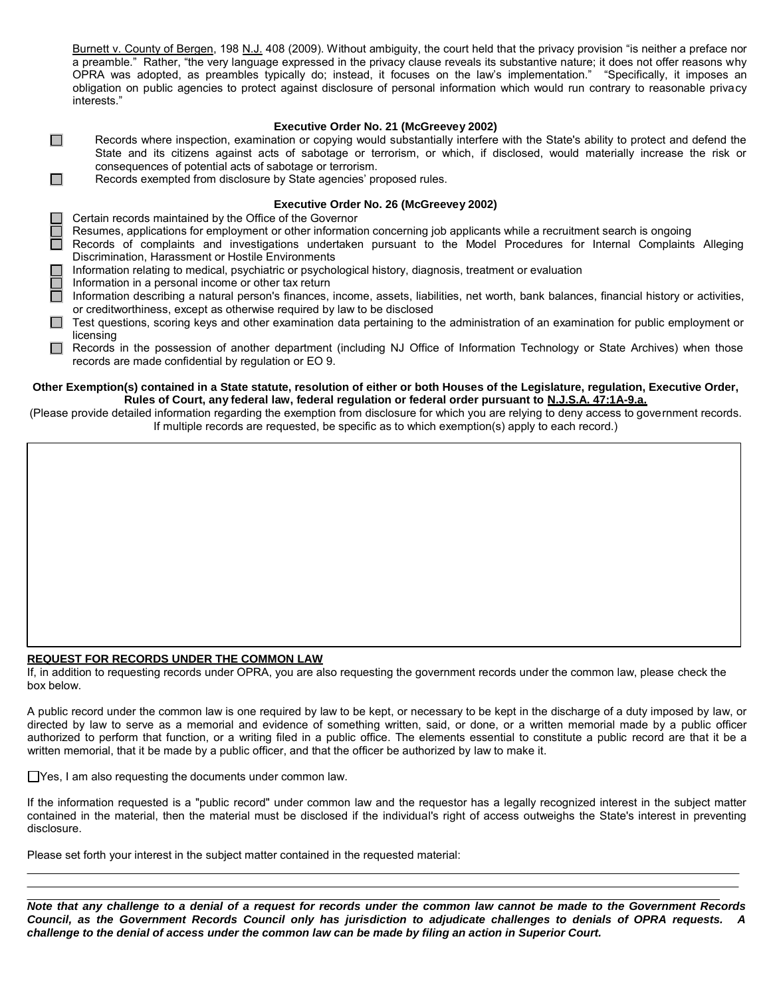Burnett v. County of Bergen, 198 N.J. 408 (2009). Without ambiguity, the court held that the privacy provision "is neither a preface nor a preamble." Rather, "the very language expressed in the privacy clause reveals its substantive nature; it does not offer reasons why OPRA was adopted, as preambles typically do; instead, it focuses on the law's implementation." "Specifically, it imposes an obligation on public agencies to protect against disclosure of personal information which would run contrary to reasonable priva cy interests."

# **Executive Order No. 21 (McGreevey 2002)**

- $\Box$ Records where inspection, examination or copying would substantially interfere with the State's ability to protect and defend the State and its citizens against acts of sabotage or terrorism, or which, if disclosed, would materially increase the risk or consequences of potential acts of sabotage or terrorism.
- $\Box$ Records exempted from disclosure by State agencies' proposed rules.

# **Executive Order No. 26 (McGreevey 2002)**

- Certain records maintained by the Office of the Governor
- Resumes, applications for employment or other information concerning job applicants while a recruitment search is ongoing
- Records of complaints and investigations undertaken pursuant to the Model Procedures for Internal Complaints Alleging Discrimination, Harassment or Hostile Environments
- Information relating to medical, psychiatric or psychological history, diagnosis, treatment or evaluation
- Information in a personal income or other tax return
- $\Box$  Information describing a natural person's finances, income, assets, liabilities, net worth, bank balances, financial history or activities, or creditworthiness, except as otherwise required by law to be disclosed
- $\Box$  Test questions, scoring keys and other examination data pertaining to the administration of an examination for public employment or licensing
- Records in the possession of another department (including NJ Office of Information Technology or State Archives) when those records are made confidential by regulation or EO 9.

### **Other Exemption(s) contained in a State statute, resolution of either or both Houses of the Legislature, regulation, Executive Order, Rules of Court, any federal law, federal regulation or federal order pursuant to N.J.S.A. 47:1A-9.a.**

(Please provide detailed information regarding the exemption from disclosure for which you are relying to deny access to gove rnment records. If multiple records are requested, be specific as to which exemption(s) apply to each record.)

# **REQUEST FOR RECORDS UNDER THE COMMON LAW**

If, in addition to requesting records under OPRA, you are also requesting the government records under the common law, please check the box below.

A public record under the common law is one required by law to be kept, or necessary to be kept in the discharge of a duty imposed by law, or directed by law to serve as a memorial and evidence of something written, said, or done, or a written memorial made by a public officer authorized to perform that function, or a writing filed in a public office. The elements essential to constitute a public record are that it be a written memorial, that it be made by a public officer, and that the officer be authorized by law to make it.

□ Yes, I am also requesting the documents under common law.

If the information requested is a "public record" under common law and the requestor has a legally recognized interest in the subject matter contained in the material, then the material must be disclosed if the individual's right of access outweighs the State's interest in preventing disclosure.

Please set forth your interest in the subject matter contained in the requested material:

*Note that any challenge to a denial of a request for records under the common law cannot be made to the Government Records Council, as the Government Records Council only has jurisdiction to adjudicate challenges to denials of OPRA requests. A challenge to the denial of access under the common law can be made by filing an action in Superior Court.*